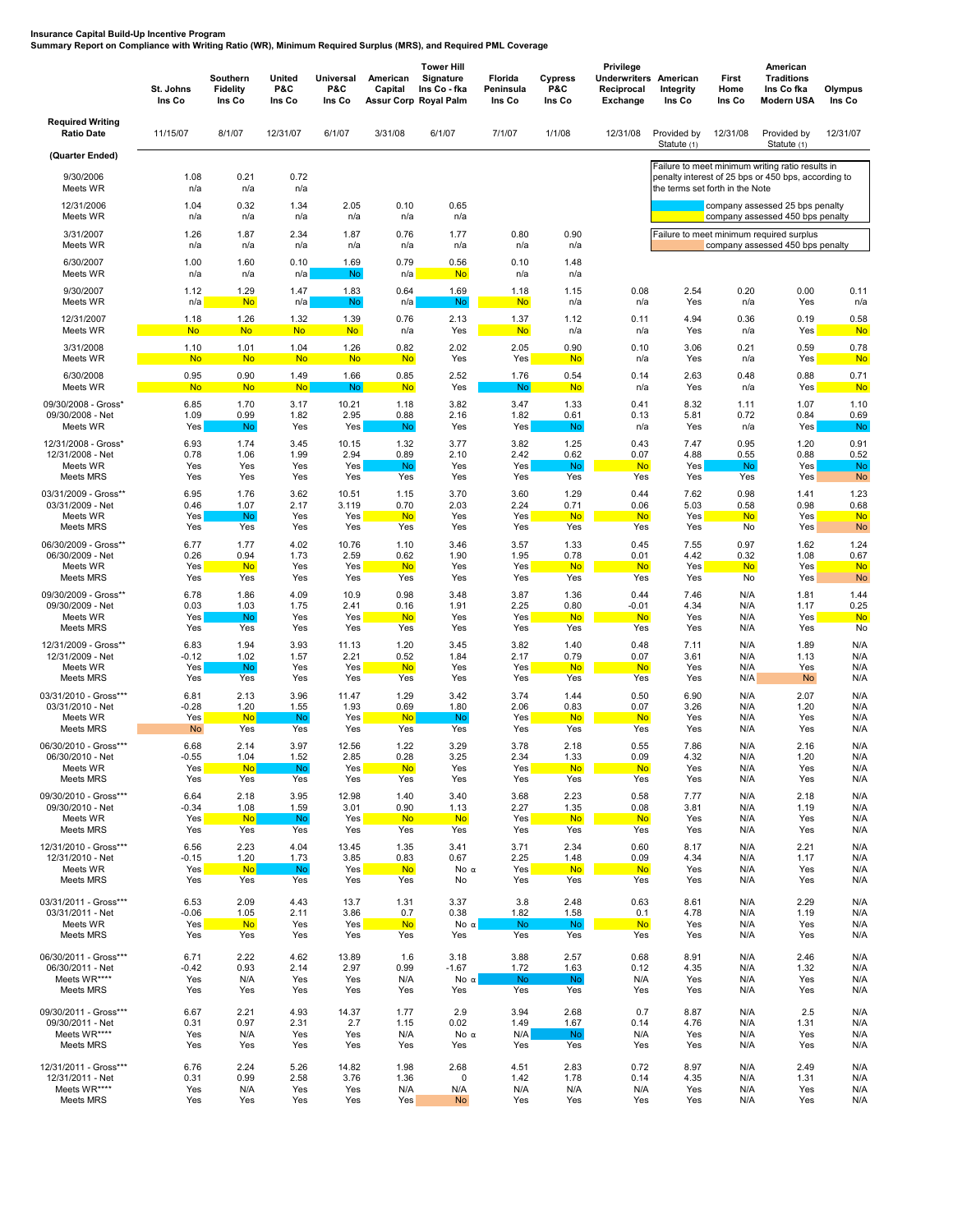## **Insurance Capital Build-Up Incentive Program Summary Report on Compliance with Writing Ratio (WR), Minimum Required Surplus (MRS), and Required PML Coverage**

|                                                                                | St. Johns<br>Ins Co        | Southern<br>Fidelity<br>Ins Co | United<br>P&C<br>Ins Co    | <b>Universal</b><br>P&C<br>Ins Co   | American<br>Capital<br><b>Assur Corp Royal Palm</b> | <b>Tower Hill</b><br>Signature<br>Ins Co - fka | Florida<br>Peninsula<br>Ins Co | Cypress<br>P&C<br>Ins Co         | Privilege<br>Underwriters<br>Reciprocal<br><b>Exchange</b> | American<br>Integrity<br>Ins Co | First<br>Home<br>Ins Co          | American<br><b>Traditions</b><br>Ins Co fka<br><b>Modern USA</b>             | Olympus<br>Ins Co                      |
|--------------------------------------------------------------------------------|----------------------------|--------------------------------|----------------------------|-------------------------------------|-----------------------------------------------------|------------------------------------------------|--------------------------------|----------------------------------|------------------------------------------------------------|---------------------------------|----------------------------------|------------------------------------------------------------------------------|----------------------------------------|
| <b>Required Writing</b><br><b>Ratio Date</b>                                   | 11/15/07                   | 8/1/07                         | 12/31/07                   | 6/1/07                              | 3/31/08                                             | 6/1/07                                         | 7/1/07                         | 1/1/08                           | 12/31/08                                                   | Provided by<br>Statute (1)      | 12/31/08                         | Provided by<br>Statute (1)                                                   | 12/31/07                               |
| (Quarter Ended)                                                                |                            |                                |                            |                                     |                                                     |                                                |                                |                                  |                                                            |                                 |                                  | Failure to meet minimum writing ratio results in                             |                                        |
| 9/30/2006<br>Meets WR                                                          | 1.08<br>n/a                | 0.21<br>n/a                    | 0.72<br>n/a                |                                     |                                                     |                                                |                                |                                  |                                                            | the terms set forth in the Note |                                  | penalty interest of 25 bps or 450 bps, according to                          |                                        |
| 12/31/2006<br>Meets WR                                                         | 1.04<br>n/a                | 0.32<br>n/a                    | 1.34<br>n/a                | 2.05<br>n/a                         | 0.10<br>n/a                                         | 0.65<br>n/a                                    |                                |                                  |                                                            |                                 |                                  | company assessed 25 bps penalty<br>company assessed 450 bps penalty          |                                        |
| 3/31/2007<br>Meets WR                                                          | 1.26<br>n/a                | 1.87<br>n/a                    | 2.34<br>n/a                | 1.87<br>n/a                         | 0.76<br>n/a                                         | 1.77<br>n/a                                    | 0.80<br>n/a                    | 0.90<br>n/a                      |                                                            |                                 |                                  | Failure to meet minimum required surplus<br>company assessed 450 bps penalty |                                        |
| 6/30/2007<br>Meets WR                                                          | 1.00<br>n/a                | 1.60<br>n/a                    | 0.10<br>n/a                | 1.69<br>No                          | 0.79<br>n/a                                         | 0.56<br><b>No</b>                              | 0.10<br>n/a                    | 1.48<br>n/a                      |                                                            |                                 |                                  |                                                                              |                                        |
| 9/30/2007                                                                      | 1.12                       | 1.29                           | 1.47                       | 1.83                                | 0.64                                                | 1.69                                           | 1.18                           | 1.15                             | 0.08                                                       | 2.54                            | 0.20                             | 0.00                                                                         | 0.11                                   |
| Meets WR                                                                       | n/a                        | <b>No</b>                      | n/a                        | No                                  | n/a                                                 | No.                                            | <b>No</b>                      | n/a                              | n/a                                                        | Yes                             | n/a                              | Yes                                                                          | n/a                                    |
| 12/31/2007                                                                     | 1.18                       | 1.26                           | 1.32                       | 1.39                                | 0.76                                                | 2.13                                           | 1.37                           | 1.12                             | 0.11                                                       | 4.94                            | 0.36                             | 0.19                                                                         | 0.58                                   |
| Meets WR                                                                       | <b>No</b>                  | <b>No</b>                      | <b>No</b>                  | <b>No</b>                           | n/a                                                 | Yes                                            | <b>No</b>                      | n/a                              | n/a                                                        | Yes                             | n/a                              | Yes                                                                          | <b>No</b>                              |
| 3/31/2008                                                                      | 1.10                       | 1.01                           | 1.04                       | 1.26                                | 0.82                                                | 2.02                                           | 2.05                           | 0.90                             | 0.10                                                       | 3.06                            | 0.21                             | 0.59                                                                         | 0.78                                   |
| Meets WR                                                                       | <b>No</b>                  | <b>No</b>                      | <b>No</b>                  | <b>No</b>                           | <b>No</b>                                           | Yes                                            | Yes                            | <b>No</b>                        | n/a                                                        | Yes                             | n/a                              | Yes                                                                          | <b>No</b>                              |
| 6/30/2008                                                                      | 0.95                       | 0.90                           | 1.49                       | 1.66                                | 0.85                                                | 2.52                                           | 1.76                           | 0.54                             | 0.14                                                       | 2.63                            | 0.48                             | 0.88                                                                         | 0.71                                   |
| Meets WR                                                                       | <b>No</b>                  | <b>No</b>                      | <b>No</b>                  | <b>No</b>                           | <b>No</b>                                           | Yes                                            | <b>No</b>                      | <b>No</b>                        | n/a                                                        | Yes                             | n/a                              | Yes                                                                          | <b>No</b>                              |
| 09/30/2008 - Gross'                                                            | 6.85                       | 1.70                           | 3.17                       | 10.21                               | 1.18                                                | 3.82                                           | 3.47                           | 1.33                             | 0.41                                                       | 8.32                            | 1.11                             | 1.07                                                                         | 1.10                                   |
| 09/30/2008 - Net                                                               | 1.09                       | 0.99                           | 1.82                       | 2.95                                | 0.88                                                | 2.16                                           | 1.82                           | 0.61                             | 0.13                                                       | 5.81                            | 0.72                             | 0.84                                                                         | 0.69                                   |
| Meets WR                                                                       | Yes                        | <b>No</b>                      | Yes                        | Yes                                 | <b>No</b>                                           | Yes                                            | Yes                            | No                               | n/a                                                        | Yes                             | n/a                              | Yes                                                                          | No                                     |
| 12/31/2008 - Gross*<br>12/31/2008 - Net<br>Meets WR                            | 6.93<br>0.78<br>Yes<br>Yes | 1.74<br>1.06<br>Yes<br>Yes     | 3.45<br>1.99<br>Yes<br>Yes | 10.15<br>2.94<br>Yes                | 1.32<br>0.89<br>No.<br>Yes                          | 3.77<br>2.10<br>Yes                            | 3.82<br>2.42<br>Yes<br>Yes     | 1.25<br>0.62<br><b>No</b><br>Yes | 0.43<br>0.07<br><b>No</b><br>Yes                           | 7.47<br>4.88<br>Yes<br>Yes      | 0.95<br>0.55<br><b>No</b><br>Yes | 1.20<br>0.88<br>Yes                                                          | 0.91<br>0.52<br><b>No</b><br><b>No</b> |
| Meets MRS<br>03/31/2009 - Gross**<br>03/31/2009 - Net<br>Meets WR<br>Meets MRS | 6.95<br>0.46<br>Yes<br>Yes | 1.76<br>1.07<br>No<br>Yes      | 3.62<br>2.17<br>Yes<br>Yes | Yes<br>10.51<br>3.119<br>Yes<br>Yes | 1.15<br>0.70<br><b>No</b><br>Yes                    | Yes<br>3.70<br>2.03<br>Yes<br>Yes              | 3.60<br>2.24<br>Yes<br>Yes     | 1.29<br>0.71<br><b>No</b><br>Yes | 0.44<br>0.06<br><b>No</b><br>Yes                           | 7.62<br>5.03<br>Yes<br>Yes      | 0.98<br>0.58<br><b>No</b><br>No  | Yes<br>1.41<br>0.98<br>Yes<br>Yes                                            | 1.23<br>0.68<br><b>No</b><br><b>No</b> |
| 06/30/2009 - Gross**                                                           | 6.77                       | 1.77                           | 4.02                       | 10.76                               | 1.10                                                | 3.46                                           | 3.57                           | 1.33                             | 0.45                                                       | 7.55                            | 0.97                             | 1.62                                                                         | 1.24                                   |
| 06/30/2009 - Net                                                               | 0.26                       | 0.94                           | 1.73                       | 2.59                                | 0.62                                                | 1.90                                           | 1.95                           | 0.78                             | 0.01                                                       | 4.42                            | 0.32                             | 1.08                                                                         | 0.67                                   |
| Meets WR                                                                       | Yes                        | <b>No</b>                      | Yes                        | Yes                                 | <b>No</b>                                           | Yes                                            | Yes                            | <b>No</b>                        | <b>No</b>                                                  | Yes                             | <b>No</b>                        | Yes                                                                          | <b>No</b>                              |
| Meets MRS                                                                      | Yes                        | Yes                            | Yes                        | Yes                                 | Yes                                                 | Yes                                            | Yes                            | Yes                              | Yes                                                        | Yes                             | No                               | Yes                                                                          | <b>No</b>                              |
| 09/30/2009 - Gross**                                                           | 6.78                       | 1.86                           | 4.09                       | 10.9                                | 0.98                                                | 3.48                                           | 3.87                           | 1.36                             | 0.44                                                       | 7.46                            | N/A                              | 1.81                                                                         | 1.44                                   |
| 09/30/2009 - Net                                                               | 0.03                       | 1.03                           | 1.75                       | 2.41                                | 0.16                                                | 1.91                                           | 2.25                           | 0.80                             | $-0.01$                                                    | 4.34                            | N/A                              | 1.17                                                                         | 0.25                                   |
| Meets WR                                                                       | Yes                        | <b>No</b>                      | Yes                        | Yes                                 | <b>No</b>                                           | Yes                                            | Yes                            | <b>No</b>                        | <b>No</b>                                                  | Yes                             | N/A                              | Yes                                                                          | <b>No</b>                              |
| Meets MRS                                                                      | Yes                        | Yes                            | Yes                        | Yes                                 | Yes                                                 | Yes                                            | Yes                            | Yes                              | Yes                                                        | Yes                             | N/A                              | Yes                                                                          | No                                     |
| 12/31/2009 - Gross**                                                           | 6.83                       | 1.94                           | 3.93                       | 11.13                               | 1.20                                                | 3.45                                           | 3.82                           | 1.40                             | 0.48                                                       | 7.11                            | N/A                              | 1.89                                                                         | N/A                                    |
| 12/31/2009 - Net                                                               | $-0.12$                    | 1.02                           | 1.57                       | 2.21                                | 0.52                                                | 1.84                                           | 2.17                           | 0.79                             | 0.07                                                       | 3.61                            | N/A                              | 1.13                                                                         | N/A                                    |
| Meets WR                                                                       | Yes                        | No                             | Yes                        | Yes                                 | <b>No</b>                                           | Yes                                            | Yes                            | <b>No</b>                        | <b>No</b>                                                  | Yes                             | N/A                              | Yes                                                                          | N/A                                    |
| Meets MRS                                                                      | Yes                        | Yes                            | Yes                        | Yes                                 | Yes                                                 | Yes                                            | Yes                            | Yes                              | Yes                                                        | Yes                             | N/A                              | <b>No</b>                                                                    | N/A                                    |
| 03/31/2010 - Gross***                                                          | 6.81                       | 2.13                           | 3.96                       | 11.47                               | 1.29                                                | 3.42                                           | 3.74                           | 1.44                             | 0.50                                                       | 6.90                            | N/A                              | 2.07                                                                         | N/A                                    |
| 03/31/2010 - Net                                                               | $-0.28$                    | 1.20                           | 1.55                       | 1.93                                | 0.69                                                | 1.80                                           | 2.06                           | 0.83                             | 0.07                                                       | 3.26                            | N/A                              | 1.20                                                                         | N/A                                    |
| Meets WR                                                                       | Yes                        | <b>No</b>                      | No.                        | Yes                                 | <b>No</b>                                           | No.                                            | Yes                            | <b>No</b>                        | <b>No</b>                                                  | Yes                             | N/A                              | Yes                                                                          | N/A                                    |
| Meets MRS                                                                      | <b>No</b>                  | Yes                            | Yes                        | Yes                                 | Yes                                                 | Yes                                            | Yes                            | Yes                              | Yes                                                        | Yes                             | N/A                              | Yes                                                                          | N/A                                    |
| 06/30/2010 - Gross***                                                          | 6.68                       | 2.14                           | 3.97                       | 12.56                               | 1.22                                                | 3.29                                           | 3.78                           | 2.18                             | 0.55                                                       | 7.86                            | N/A                              | 2.16                                                                         | N/A                                    |
| 06/30/2010 - Net                                                               | $-0.55$                    | 1.04                           | 1.52                       | 2.85                                | 0.28                                                | 3.25                                           | 2.34                           | 1.33                             | 0.09                                                       | 4.32                            | N/A                              | 1.20                                                                         | N/A                                    |
| Meets WR                                                                       | Yes                        | <b>No</b>                      | No                         | Yes                                 | <b>No</b>                                           | Yes                                            | Yes                            | <b>No</b>                        | <b>No</b>                                                  | Yes                             | N/A                              | Yes                                                                          | N/A                                    |
| Meets MRS                                                                      | Yes                        | Yes                            | Yes                        | Yes                                 | Yes                                                 | Yes                                            | Yes                            | Yes                              | Yes                                                        | Yes                             | N/A                              | Yes                                                                          | N/A                                    |
| 09/30/2010 - Gross***                                                          | 6.64                       | 2.18                           | 3.95                       | 12.98                               | 1.40                                                | 3.40                                           | 3.68                           | 2.23                             | 0.58                                                       | 7.77                            | N/A                              | 2.18                                                                         | N/A                                    |
| 09/30/2010 - Net                                                               | $-0.34$                    | 1.08                           | 1.59                       | 3.01                                | 0.90                                                | 1.13                                           | 2.27                           | 1.35                             | 0.08                                                       | 3.81                            | N/A                              | 1.19                                                                         | N/A                                    |
| Meets WR                                                                       | Yes                        | <b>No</b>                      | <b>No</b>                  | Yes                                 | <b>No</b>                                           | <b>No</b>                                      | Yes                            | <b>No</b>                        | <b>No</b>                                                  | Yes                             | N/A                              | Yes                                                                          | N/A                                    |
| Meets MRS                                                                      | Yes                        | Yes                            | Yes                        | Yes                                 | Yes                                                 | Yes                                            | Yes                            | Yes                              | Yes                                                        | Yes                             | N/A                              | Yes                                                                          | N/A                                    |
| 12/31/2010 - Gross***                                                          | 6.56                       | 2.23                           | 4.04                       | 13.45                               | 1.35                                                | 3.41                                           | 3.71                           | 2.34                             | 0.60                                                       | 8.17                            | N/A                              | 2.21                                                                         | N/A                                    |
| 12/31/2010 - Net                                                               | $-0.15$                    | 1.20                           | 1.73                       | 3.85                                | 0.83                                                | 0.67                                           | 2.25                           | 1.48                             | 0.09                                                       | 4.34                            | N/A                              | 1.17                                                                         | N/A                                    |
| Meets WR                                                                       | Yes                        | <b>No</b>                      | No                         | Yes                                 | <b>No</b>                                           | No α                                           | Yes                            | <b>No</b>                        | <b>No</b>                                                  | Yes                             | N/A                              | Yes                                                                          | N/A                                    |
| Meets MRS                                                                      | Yes                        | Yes                            | Yes                        | Yes                                 | Yes                                                 | No                                             | Yes                            | Yes                              | Yes                                                        | Yes                             | N/A                              | Yes                                                                          | N/A                                    |
| 03/31/2011 - Gross***                                                          | 6.53                       | 2.09                           | 4.43                       | 13.7                                | 1.31                                                | 3.37                                           | 3.8                            | 2.48                             | 0.63                                                       | 8.61                            | N/A                              | 2.29                                                                         | N/A                                    |
| 03/31/2011 - Net                                                               | $-0.06$                    | 1.05                           | 2.11                       | 3.86                                | 0.7                                                 | 0.38                                           | 1.82                           | 1.58                             | 0.1                                                        | 4.78                            | N/A                              | 1.19                                                                         | N/A                                    |
| Meets WR                                                                       | Yes                        | <b>No</b>                      | Yes                        | Yes                                 | <b>No</b>                                           | Noα                                            | <b>No</b>                      | <b>No</b>                        | <b>No</b>                                                  | Yes                             | N/A                              | Yes                                                                          | N/A                                    |
| Meets MRS                                                                      | Yes                        | Yes                            | Yes                        | Yes                                 | Yes                                                 | Yes                                            | Yes                            | Yes                              | Yes                                                        | Yes                             | N/A                              | Yes                                                                          | N/A                                    |
| 06/30/2011 - Gross***                                                          | 6.71                       | 2.22                           | 4.62                       | 13.89                               | 1.6                                                 | 3.18                                           | 3.88                           | 2.57                             | 0.68                                                       | 8.91                            | N/A                              | 2.46                                                                         | N/A                                    |
| 06/30/2011 - Net                                                               | $-0.42$                    | 0.93                           | 2.14                       | 2.97                                | 0.99                                                | $-1.67$                                        | 1.72                           | 1.63                             | 0.12                                                       | 4.35                            | N/A                              | 1.32                                                                         | N/A                                    |
| Meets WR****                                                                   | Yes                        | N/A                            | Yes                        | Yes                                 | N/A                                                 | No α                                           | <b>No</b>                      | <b>No</b>                        | N/A                                                        | Yes                             | N/A                              | Yes                                                                          | N/A                                    |
| Meets MRS                                                                      | Yes                        | Yes                            | Yes                        | Yes                                 | Yes                                                 | Yes                                            | Yes                            | Yes                              | Yes                                                        | Yes                             | N/A                              | Yes                                                                          | N/A                                    |
| 09/30/2011 - Gross***                                                          | 6.67                       | 2.21                           | 4.93                       | 14.37                               | 1.77                                                | 2.9                                            | 3.94                           | 2.68                             | 0.7                                                        | 8.87                            | N/A                              | 2.5                                                                          | N/A                                    |
| 09/30/2011 - Net                                                               | 0.31                       | 0.97                           | 2.31                       | 2.7                                 | 1.15                                                | 0.02                                           | 1.49                           | 1.67                             | 0.14                                                       | 4.76                            | N/A                              | 1.31                                                                         | N/A                                    |
| Meets WR****                                                                   | Yes                        | N/A                            | Yes                        | Yes                                 | N/A                                                 | No α                                           | N/A                            | No.                              | N/A                                                        | Yes                             | N/A                              | Yes                                                                          | N/A                                    |
| Meets MRS                                                                      | Yes                        | Yes                            | Yes                        | Yes                                 | Yes                                                 | Yes                                            | Yes                            | Yes                              | Yes                                                        | Yes                             | N/A                              | Yes                                                                          | N/A                                    |
| 12/31/2011 - Gross***                                                          | 6.76                       | 2.24                           | 5.26                       | 14.82                               | 1.98                                                | 2.68                                           | 4.51                           | 2.83                             | 0.72                                                       | 8.97                            | N/A                              | 2.49                                                                         | N/A                                    |
| 12/31/2011 - Net                                                               | 0.31                       | 0.99                           | 2.58                       | 3.76                                | 1.36                                                | 0                                              | 1.42                           | 1.78                             | 0.14                                                       | 4.35                            | N/A                              | 1.31                                                                         | N/A                                    |
| Meets WR****                                                                   | Yes                        | N/A                            | Yes                        | Yes                                 | N/A                                                 | N/A                                            | N/A                            | N/A                              | N/A                                                        | Yes                             | N/A                              | Yes                                                                          | N/A                                    |
| Meets MRS                                                                      | Yes                        | Yes                            | Yes                        | Yes                                 | Yes                                                 | No                                             | Yes                            | Yes                              | Yes                                                        | Yes                             | N/A                              | Yes                                                                          | N/A                                    |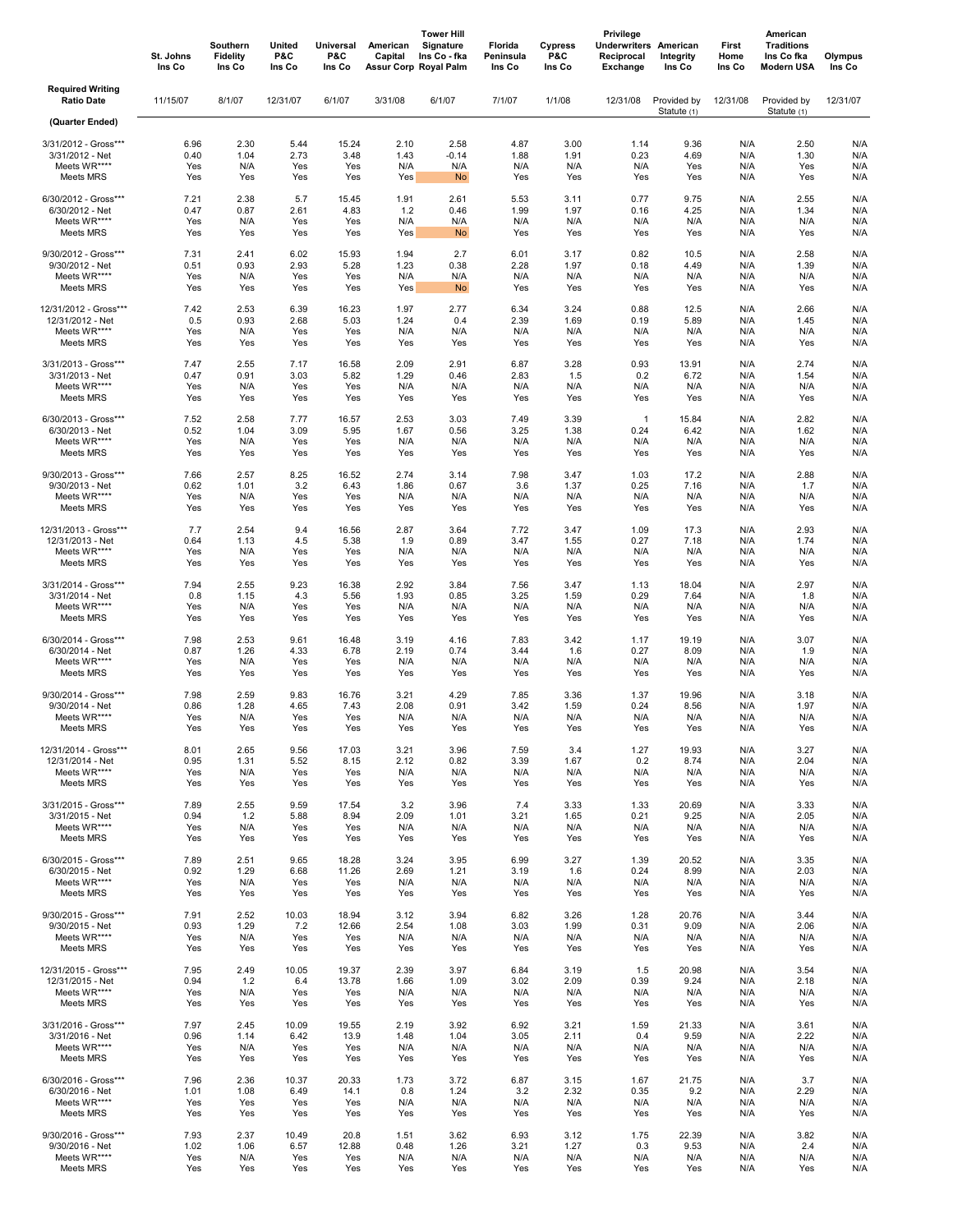|                                                                                   | St. Johns<br>Ins Co               | Southern<br><b>Fidelity</b><br>Ins Co | United<br>P&C<br>Ins Co           | <b>Universal</b><br>P&C<br>Ins Co  | American<br>Capital               | <b>Tower Hill</b><br>Signature<br>Ins Co - fka<br>Assur Corp Royal Palm | Florida<br>Peninsula<br>Ins Co    | <b>Cypress</b><br>P&C<br>Ins Co   | Privilege<br><b>Underwriters American</b><br>Reciprocal<br>Exchange | Integrity<br>Ins Co                | First<br>Home<br>Ins Co         | American<br><b>Traditions</b><br>Ins Co fka<br>Modern USA | Olympus<br>Ins Co               |
|-----------------------------------------------------------------------------------|-----------------------------------|---------------------------------------|-----------------------------------|------------------------------------|-----------------------------------|-------------------------------------------------------------------------|-----------------------------------|-----------------------------------|---------------------------------------------------------------------|------------------------------------|---------------------------------|-----------------------------------------------------------|---------------------------------|
| <b>Required Writing</b><br><b>Ratio Date</b>                                      | 11/15/07                          | 8/1/07                                | 12/31/07                          | 6/1/07                             | 3/31/08                           | 6/1/07                                                                  | 7/1/07                            | 1/1/08                            | 12/31/08                                                            | Provided by<br>Statute (1)         | 12/31/08                        | Provided by<br>Statute (1)                                | 12/31/07                        |
| (Quarter Ended)                                                                   |                                   |                                       |                                   |                                    |                                   |                                                                         |                                   |                                   |                                                                     |                                    |                                 |                                                           |                                 |
| 3/31/2012 - Gross***                                                              | 6.96                              | 2.30                                  | 5.44                              | 15.24                              | 2.10                              | 2.58                                                                    | 4.87                              | 3.00                              | 1.14                                                                | 9.36                               | N/A                             | 2.50                                                      | N/A                             |
| 3/31/2012 - Net                                                                   | 0.40                              | 1.04                                  | 2.73                              | 3.48                               | 1.43                              | $-0.14$                                                                 | 1.88                              | 1.91                              | 0.23                                                                | 4.69                               | N/A                             | 1.30                                                      | N/A                             |
| Meets WR****                                                                      | Yes                               | N/A                                   | Yes                               | Yes                                | N/A                               | N/A                                                                     | N/A                               | N/A                               | N/A                                                                 | Yes                                | N/A                             | Yes                                                       | N/A                             |
| Meets MRS                                                                         | Yes                               | Yes                                   | Yes                               | Yes                                | Yes                               | <b>No</b>                                                               | Yes                               | Yes                               | Yes                                                                 | Yes                                | N/A                             | Yes                                                       | N/A                             |
| 6/30/2012 - Gross***                                                              | 7.21                              | 2.38                                  | 5.7                               | 15.45                              | 1.91                              | 2.61                                                                    | 5.53                              | 3.11                              | 0.77                                                                | 9.75                               | N/A                             | 2.55                                                      | N/A                             |
| 6/30/2012 - Net                                                                   | 0.47                              | 0.87                                  | 2.61                              | 4.83                               | 1.2                               | 0.46                                                                    | 1.99                              | 1.97                              | 0.16                                                                | 4.25                               | N/A                             | 1.34                                                      | N/A                             |
| Meets WR****                                                                      | Yes                               | N/A                                   | Yes                               | Yes                                | N/A                               | N/A                                                                     | N/A                               | N/A                               | N/A                                                                 | N/A                                | N/A                             | N/A                                                       | N/A                             |
| Meets MRS                                                                         | Yes                               | Yes                                   | Yes                               | Yes                                | Yes                               | No                                                                      | Yes                               | Yes                               | Yes                                                                 | Yes                                | N/A                             | Yes                                                       | N/A                             |
| 9/30/2012 - Gross***                                                              | 7.31                              | 2.41                                  | 6.02                              | 15.93                              | 1.94                              | 2.7                                                                     | 6.01                              | 3.17                              | 0.82                                                                | 10.5                               | N/A                             | 2.58                                                      | N/A                             |
| 9/30/2012 - Net                                                                   | 0.51                              | 0.93                                  | 2.93                              | 5.28                               | 1.23                              | 0.38                                                                    | 2.28                              | 1.97                              | 0.18                                                                | 4.49                               | N/A                             | 1.39                                                      | N/A                             |
| Meets WR****                                                                      | Yes                               | N/A                                   | Yes                               | Yes                                | N/A                               | N/A                                                                     | N/A                               | N/A                               | N/A                                                                 | N/A                                | N/A                             | N/A                                                       | N/A                             |
| Meets MRS                                                                         | Yes                               | Yes                                   | Yes                               | Yes                                | Yes                               | No                                                                      | Yes                               | Yes                               | Yes                                                                 | Yes                                | N/A                             | Yes                                                       | N/A                             |
| 12/31/2012 - Gross***                                                             | 7.42                              | 2.53                                  | 6.39                              | 16.23                              | 1.97                              | 2.77                                                                    | 6.34                              | 3.24                              | 0.88                                                                | 12.5                               | N/A                             | 2.66                                                      | N/A                             |
| 12/31/2012 - Net                                                                  | 0.5                               | 0.93                                  | 2.68                              | 5.03                               | 1.24                              | 0.4                                                                     | 2.39                              | 1.69                              | 0.19                                                                | 5.89                               | N/A                             | 1.45                                                      | N/A                             |
| Meets WR****                                                                      | Yes                               | N/A                                   | Yes                               | Yes                                | N/A                               | N/A                                                                     | N/A                               | N/A                               | N/A                                                                 | N/A                                | N/A                             | N/A                                                       | N/A                             |
| Meets MRS                                                                         | Yes                               | Yes                                   | Yes                               | Yes                                | Yes                               | Yes                                                                     | Yes                               | Yes                               | Yes                                                                 | Yes                                | N/A                             | Yes                                                       | N/A                             |
| 3/31/2013 - Gross***                                                              | 7.47                              | 2.55                                  | 7.17                              | 16.58                              | 2.09                              | 2.91                                                                    | 6.87                              | 3.28                              | 0.93                                                                | 13.91                              | N/A                             | 2.74                                                      | N/A                             |
| 3/31/2013 - Net                                                                   | 0.47                              | 0.91                                  | 3.03                              | 5.82                               | 1.29                              | 0.46                                                                    | 2.83                              | 1.5                               | 0.2                                                                 | 6.72                               | N/A                             | 1.54                                                      | N/A                             |
| Meets WR****                                                                      | Yes                               | N/A                                   | Yes                               | Yes                                | N/A                               | N/A                                                                     | N/A                               | N/A                               | N/A                                                                 | N/A                                | N/A                             | N/A                                                       | N/A                             |
| Meets MRS                                                                         | Yes                               | Yes                                   | Yes                               | Yes                                | Yes                               | Yes                                                                     | Yes                               | Yes                               | Yes                                                                 | Yes                                | N/A                             | Yes                                                       | N/A                             |
| 6/30/2013 - Gross***                                                              | 7.52                              | 2.58                                  | 7.77                              | 16.57                              | 2.53                              | 3.03                                                                    | 7.49                              | 3.39                              | $\mathbf{1}$                                                        | 15.84                              | N/A                             | 2.82                                                      | N/A                             |
| 6/30/2013 - Net                                                                   | 0.52                              | 1.04                                  | 3.09                              | 5.95                               | 1.67                              | 0.56                                                                    | 3.25                              | 1.38                              | 0.24                                                                | 6.42                               | N/A                             | 1.62                                                      | N/A                             |
| Meets WR****                                                                      | Yes                               | N/A                                   | Yes                               | Yes                                | N/A                               | N/A                                                                     | N/A                               | N/A                               | N/A                                                                 | N/A                                | N/A                             | N/A                                                       | N/A                             |
| Meets MRS                                                                         | Yes                               | Yes                                   | Yes                               | Yes                                | Yes                               | Yes                                                                     | Yes                               | Yes                               | Yes                                                                 | Yes                                | N/A                             | Yes                                                       | N/A                             |
| 9/30/2013 - Gross***                                                              | 7.66                              | 2.57                                  | 8.25                              | 16.52                              | 2.74                              | 3.14                                                                    | 7.98                              | 3.47                              | 1.03                                                                | 17.2                               | N/A                             | 2.88                                                      | N/A                             |
| 9/30/2013 - Net                                                                   | 0.62                              | 1.01                                  | 3.2                               | 6.43                               | 1.86                              | 0.67                                                                    | 3.6                               | 1.37                              | 0.25                                                                | 7.16                               | N/A                             | 1.7                                                       | N/A                             |
| Meets WR****                                                                      | Yes                               | N/A                                   | Yes                               | Yes                                | N/A                               | N/A                                                                     | N/A                               | N/A                               | N/A                                                                 | N/A                                | N/A                             | N/A                                                       | N/A                             |
| Meets MRS                                                                         | Yes                               | Yes                                   | Yes                               | Yes                                | Yes                               | Yes                                                                     | Yes                               | Yes                               | Yes                                                                 | Yes                                | N/A                             | Yes                                                       | N/A                             |
| 12/31/2013 - Gross***                                                             | 7.7                               | 2.54                                  | 9.4                               | 16.56                              | 2.87                              | 3.64                                                                    | 7.72                              | 3.47                              | 1.09                                                                | 17.3                               | N/A                             | 2.93                                                      | N/A                             |
| 12/31/2013 - Net                                                                  | 0.64                              | 1.13                                  | 4.5                               | 5.38                               | 1.9                               | 0.89                                                                    | 3.47                              | 1.55                              | 0.27                                                                | 7.18                               | N/A                             | 1.74                                                      | N/A                             |
| Meets WR****                                                                      | Yes                               | N/A                                   | Yes                               | Yes                                | N/A                               | N/A                                                                     | N/A                               | N/A                               | N/A                                                                 | N/A                                | N/A                             | N/A                                                       | N/A                             |
| Meets MRS                                                                         | Yes                               | Yes                                   | Yes                               | Yes                                | Yes                               | Yes                                                                     | Yes                               | Yes                               | Yes                                                                 | Yes                                | N/A                             | Yes                                                       | N/A                             |
| 3/31/2014 - Gross***                                                              | 7.94                              | 2.55                                  | 9.23                              | 16.38                              | 2.92                              | 3.84                                                                    | 7.56                              | 3.47                              | 1.13                                                                | 18.04                              | N/A                             | 2.97                                                      | N/A                             |
| 3/31/2014 - Net                                                                   | 0.8                               | 1.15                                  | 4.3                               | 5.56                               | 1.93                              | 0.85                                                                    | 3.25                              | 1.59                              | 0.29                                                                | 7.64                               | N/A                             | 1.8                                                       | N/A                             |
| Meets WR****                                                                      | Yes                               | N/A                                   | Yes                               | Yes                                | N/A                               | N/A                                                                     | N/A                               | N/A                               | N/A                                                                 | N/A                                | N/A                             | N/A                                                       | N/A                             |
| Meets MRS                                                                         | Yes                               | Yes                                   | Yes                               | Yes                                | Yes                               | Yes                                                                     | Yes                               | Yes                               | Yes                                                                 | Yes                                | N/A                             | Yes                                                       | N/A                             |
| 6/30/2014 - Gross***                                                              | 7.98                              | 2.53                                  | 9.61                              | 16.48                              | 3.19                              | 4.16                                                                    | 7.83                              | 3.42                              | 1.17                                                                | 19.19                              | N/A                             | 3.07                                                      | N/A                             |
| 6/30/2014 - Net                                                                   | 0.87                              | 1.26                                  | 4.33                              | 6.78                               | 2.19                              | 0.74                                                                    | 3.44                              | 1.6                               | 0.27                                                                | 8.09                               | N/A                             | 1.9                                                       | N/A                             |
| Meets WR****                                                                      | Yes                               | N/A                                   | Yes                               | Yes                                | N/A                               | N/A                                                                     | N/A                               | N/A                               | N/A                                                                 | N/A                                | N/A                             | N/A                                                       | N/A                             |
| Meets MRS<br>9/30/2014 - Gross***<br>9/30/2014 - Net<br>Meets WR****<br>Meets MRS | Yes<br>7.98<br>0.86<br>Yes<br>Yes | Yes<br>2.59<br>1.28<br>N/A<br>Yes     | Yes<br>9.83<br>4.65<br>Yes<br>Yes | Yes<br>16.76<br>7.43<br>Yes<br>Yes | Yes<br>3.21<br>2.08<br>N/A<br>Yes | Yes<br>4.29<br>0.91<br>N/A<br>Yes                                       | Yes<br>7.85<br>3.42<br>N/A<br>Yes | Yes<br>3.36<br>1.59<br>N/A<br>Yes | Yes<br>1.37<br>0.24<br>N/A                                          | Yes<br>19.96<br>8.56<br>N/A<br>Yes | N/A<br>N/A<br>N/A<br>N/A<br>N/A | Yes<br>3.18<br>1.97<br>N/A<br>Yes                         | N/A<br>N/A<br>N/A<br>N/A<br>N/A |
| 12/31/2014 - Gross***<br>12/31/2014 - Net<br>Meets WR****<br>Meets MRS            | 8.01<br>0.95<br>Yes<br>Yes        | 2.65<br>1.31<br>N/A<br>Yes            | 9.56<br>5.52<br>Yes<br>Yes        | 17.03<br>8.15<br>Yes<br>Yes        | 3.21<br>2.12<br>N/A<br>Yes        | 3.96<br>0.82<br>N/A<br>Yes                                              | 7.59<br>3.39<br>N/A<br>Yes        | 3.4<br>1.67<br>N/A<br>Yes         | Yes<br>1.27<br>0.2<br>N/A<br>Yes                                    | 19.93<br>8.74<br>N/A<br>Yes        | N/A<br>N/A<br>N/A<br>N/A        | 3.27<br>2.04<br>N/A<br>Yes                                | N/A<br>N/A<br>N/A<br>N/A        |
| 3/31/2015 - Gross***                                                              | 7.89                              | 2.55                                  | 9.59                              | 17.54                              | 3.2                               | 3.96                                                                    | 7.4                               | 3.33                              | 1.33                                                                | 20.69                              | N/A                             | 3.33                                                      | N/A                             |
| 3/31/2015 - Net                                                                   | 0.94                              | $1.2$                                 | 5.88                              | 8.94                               | 2.09                              | 1.01                                                                    | 3.21                              | 1.65                              | 0.21                                                                | 9.25                               | N/A                             | 2.05                                                      | N/A                             |
| Meets WR****                                                                      | Yes                               | N/A                                   | Yes                               | Yes                                | N/A                               | N/A                                                                     | N/A                               | N/A                               | N/A                                                                 | N/A                                | N/A                             | N/A                                                       | N/A                             |
| Meets MRS                                                                         | Yes                               | Yes                                   | Yes                               | Yes                                | Yes                               | Yes                                                                     | Yes                               | Yes                               | Yes                                                                 | Yes                                | N/A                             | Yes                                                       | N/A                             |
| 6/30/2015 - Gross***                                                              | 7.89                              | 2.51                                  | 9.65                              | 18.28                              | 3.24                              | 3.95                                                                    | 6.99                              | 3.27                              | 1.39                                                                | 20.52                              | N/A                             | 3.35                                                      | N/A                             |
| 6/30/2015 - Net                                                                   | 0.92                              | 1.29                                  | 6.68                              | 11.26                              | 2.69                              | 1.21                                                                    | 3.19                              | 1.6                               | 0.24                                                                | 8.99                               | N/A                             | 2.03                                                      | N/A                             |
| Meets WR****                                                                      | Yes                               | N/A                                   | Yes                               | Yes                                | N/A                               | N/A                                                                     | N/A                               | N/A                               | N/A                                                                 | N/A                                | N/A                             | N/A                                                       | N/A                             |
| Meets MRS                                                                         | Yes                               | Yes                                   | Yes                               | Yes                                | Yes                               | Yes                                                                     | Yes                               | Yes                               | Yes                                                                 | Yes                                | N/A                             | Yes                                                       | N/A                             |
| 9/30/2015 - Gross***                                                              | 7.91                              | 2.52                                  | 10.03                             | 18.94                              | 3.12                              | 3.94                                                                    | 6.82                              | 3.26                              | 1.28                                                                | 20.76                              | N/A                             | 3.44                                                      | N/A                             |
| 9/30/2015 - Net                                                                   | 0.93                              | 1.29                                  | 7.2                               | 12.66                              | 2.54                              | 1.08                                                                    | 3.03                              | 1.99                              | 0.31                                                                | 9.09                               | N/A                             | 2.06                                                      | N/A                             |
| Meets WR****                                                                      | Yes                               | N/A                                   | Yes                               | Yes                                | N/A                               | N/A                                                                     | N/A                               | N/A                               | N/A                                                                 | N/A                                | N/A                             | N/A                                                       | N/A                             |
| Meets MRS                                                                         | Yes                               | Yes                                   | Yes                               | Yes                                | Yes                               | Yes                                                                     | Yes                               | Yes                               | Yes                                                                 | Yes                                | N/A                             | Yes                                                       | N/A                             |
| 12/31/2015 - Gross***                                                             | 7.95                              | 2.49                                  | 10.05                             | 19.37                              | 2.39                              | 3.97                                                                    | 6.84                              | 3.19                              | 1.5                                                                 | 20.98                              | N/A                             | 3.54                                                      | N/A                             |
| 12/31/2015 - Net                                                                  | 0.94                              | $1.2$                                 | 6.4                               | 13.78                              | 1.66                              | 1.09                                                                    | 3.02                              | 2.09                              | 0.39                                                                | 9.24                               | N/A                             | 2.18                                                      | N/A                             |
| Meets WR****                                                                      | Yes                               | N/A                                   | Yes                               | Yes                                | N/A                               | N/A                                                                     | N/A                               | N/A                               | N/A                                                                 | N/A                                | N/A                             | N/A                                                       | N/A                             |
| Meets MRS                                                                         | Yes                               | Yes                                   | Yes                               | Yes                                | Yes                               | Yes                                                                     | Yes                               | Yes                               | Yes                                                                 | Yes                                | N/A                             | Yes                                                       | N/A                             |
| 3/31/2016 - Gross***                                                              | 7.97                              | 2.45                                  | 10.09                             | 19.55                              | 2.19                              | 3.92                                                                    | 6.92                              | 3.21                              | 1.59                                                                | 21.33                              | N/A                             | 3.61                                                      | N/A                             |
| 3/31/2016 - Net                                                                   | 0.96                              | 1.14                                  | 6.42                              | 13.9                               | 1.48                              | 1.04                                                                    | 3.05                              | 2.11                              | 0.4                                                                 | 9.59                               | N/A                             | 2.22                                                      | N/A                             |
| Meets WR****                                                                      | Yes                               | N/A                                   | Yes                               | Yes                                | N/A                               | N/A                                                                     | N/A                               | N/A                               | N/A                                                                 | N/A                                | N/A                             | N/A                                                       | N/A                             |
| Meets MRS                                                                         | Yes                               | Yes                                   | Yes                               | Yes                                | Yes                               | Yes                                                                     | Yes                               | Yes                               | Yes                                                                 | Yes                                | N/A                             | Yes                                                       | N/A                             |
| 6/30/2016 - Gross***                                                              | 7.96                              | 2.36                                  | 10.37                             | 20.33                              | 1.73                              | 3.72                                                                    | 6.87                              | 3.15                              | 1.67                                                                | 21.75                              | N/A                             | 3.7                                                       | N/A                             |
| 6/30/2016 - Net                                                                   | 1.01                              | 1.08                                  | 6.49                              | 14.1                               | 0.8                               | 1.24                                                                    | 3.2                               | 2.32                              | 0.35                                                                | 9.2                                | N/A                             | 2.29                                                      | N/A                             |
| Meets WR****                                                                      | Yes                               | Yes                                   | Yes                               | Yes                                | N/A                               | N/A                                                                     | N/A                               | N/A                               | N/A                                                                 | N/A                                | N/A                             | N/A                                                       | N/A                             |
| Meets MRS                                                                         | Yes                               | Yes                                   | Yes                               | Yes                                | Yes                               | Yes                                                                     | Yes                               | Yes                               | Yes                                                                 | Yes                                | N/A                             | Yes                                                       | N/A                             |
| 9/30/2016 - Gross***                                                              | 7.93                              | 2.37                                  | 10.49                             | 20.8                               | 1.51                              | 3.62                                                                    | 6.93                              | 3.12                              | 1.75                                                                | 22.39                              | N/A                             | 3.82                                                      | N/A                             |
| 9/30/2016 - Net                                                                   | 1.02                              | 1.06                                  | 6.57                              | 12.88                              | 0.48                              | 1.26                                                                    | 3.21                              | 1.27                              | 0.3                                                                 | 9.53                               | N/A                             | 2.4                                                       | N/A                             |
| Meets WR****                                                                      | Yes                               | N/A                                   | Yes                               | Yes                                | N/A                               | N/A                                                                     | N/A                               | N/A                               | N/A                                                                 | N/A                                | N/A                             | N/A                                                       | N/A                             |
| Meets MRS                                                                         | Yes                               | Yes                                   | Yes                               | Yes                                | Yes                               | Yes                                                                     | Yes                               | Yes                               | Yes                                                                 | Yes                                | N/A                             | Yes                                                       | N/A                             |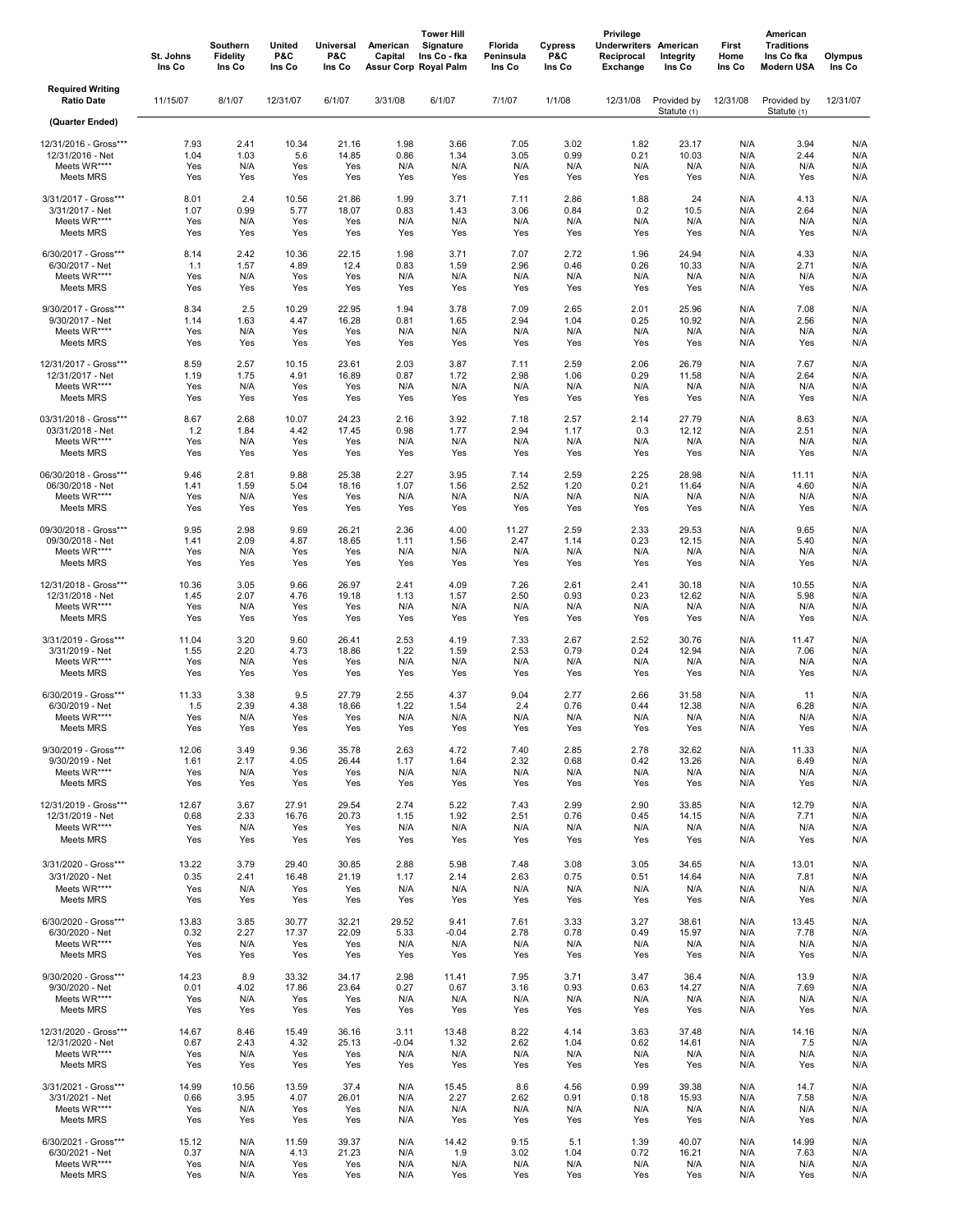|                                              | St. Johns<br>Ins Co | Southern<br><b>Fidelity</b><br>Ins Co | United<br>P&C<br>Ins Co | Universal<br>P&C<br>Ins Co | American<br>Capital | <b>Tower Hill</b><br>Signature<br>Ins Co - fka<br>Assur Corp Royal Palm | Florida<br>Peninsula<br>Ins Co | Cypress<br>P&C<br>Ins Co | Privilege<br><b>Underwriters American</b><br>Reciprocal<br>Exchange | Integrity<br>Ins Co        | First<br>Home<br>Ins Co | American<br><b>Traditions</b><br>Ins Co fka<br><b>Modern USA</b> | Olympus<br>Ins Co |
|----------------------------------------------|---------------------|---------------------------------------|-------------------------|----------------------------|---------------------|-------------------------------------------------------------------------|--------------------------------|--------------------------|---------------------------------------------------------------------|----------------------------|-------------------------|------------------------------------------------------------------|-------------------|
| <b>Required Writing</b><br><b>Ratio Date</b> | 11/15/07            | 8/1/07                                | 12/31/07                | 6/1/07                     | 3/31/08             | 6/1/07                                                                  | 7/1/07                         | 1/1/08                   | 12/31/08                                                            | Provided by<br>Statute (1) | 12/31/08                | Provided by<br>Statute (1)                                       | 12/31/07          |
| (Quarter Ended)                              |                     |                                       |                         |                            |                     |                                                                         |                                |                          |                                                                     |                            |                         |                                                                  |                   |
| 12/31/2016 - Gross***                        | 7.93                | 2.41                                  | 10.34                   | 21.16                      | 1.98                | 3.66                                                                    | 7.05                           | 3.02                     | 1.82                                                                | 23.17                      | N/A                     | 3.94                                                             | N/A               |
| 12/31/2016 - Net                             | 1.04                | 1.03                                  | 5.6                     | 14.85                      | 0.86                | 1.34                                                                    | 3.05                           | 0.99                     | 0.21                                                                | 10.03                      | N/A                     | 2.44                                                             | N/A               |
| Meets WR****                                 | Yes                 | N/A                                   | Yes                     | Yes                        | N/A                 | N/A                                                                     | N/A                            | N/A                      | N/A                                                                 | N/A                        | N/A                     | N/A                                                              | N/A               |
| Meets MRS                                    | Yes                 | Yes                                   | Yes                     | Yes                        | Yes                 | Yes                                                                     | Yes                            | Yes                      | Yes                                                                 | Yes                        | N/A                     | Yes                                                              | N/A               |
| 3/31/2017 - Gross***                         | 8.01                | 2.4                                   | 10.56                   | 21.86                      | 1.99                | 3.71                                                                    | 7.11                           | 2.86                     | 1.88                                                                | 24                         | N/A                     | 4.13                                                             | N/A               |
| 3/31/2017 - Net                              | 1.07                | 0.99                                  | 5.77                    | 18.07                      | 0.83                | 1.43                                                                    | 3.06                           | 0.84                     | 0.2                                                                 | 10.5                       | N/A                     | 2.64                                                             | N/A               |
| Meets WR****                                 | Yes                 | N/A                                   | Yes                     | Yes                        | N/A                 | N/A                                                                     | N/A                            | N/A                      | N/A                                                                 | N/A                        | N/A                     | N/A                                                              | N/A               |
| Meets MRS                                    | Yes                 | Yes                                   | Yes                     | Yes                        | Yes                 | Yes                                                                     | Yes                            | Yes                      | Yes                                                                 | Yes                        | N/A                     | Yes                                                              | N/A               |
| 6/30/2017 - Gross***                         | 8.14                | 2.42                                  | 10.36                   | 22.15                      | 1.98                | 3.71                                                                    | 7.07                           | 2.72                     | 1.96                                                                | 24.94                      | N/A                     | 4.33                                                             | N/A               |
| 6/30/2017 - Net                              | 1.1                 | 1.57                                  | 4.89                    | 12.4                       | 0.83                | 1.59                                                                    | 2.96                           | 0.46                     | 0.26                                                                | 10.33                      | N/A                     | 2.71                                                             | N/A               |
| Meets WR****                                 | Yes                 | N/A                                   | Yes                     | Yes                        | N/A                 | N/A                                                                     | N/A                            | N/A                      | N/A                                                                 | N/A                        | N/A                     | N/A                                                              | N/A               |
| Meets MRS                                    | Yes                 | Yes                                   | Yes                     | Yes                        | Yes                 | Yes                                                                     | Yes                            | Yes                      | Yes                                                                 | Yes                        | N/A                     | Yes                                                              | N/A               |
| 9/30/2017 - Gross***                         | 8.34                | 2.5                                   | 10.29                   | 22.95                      | 1.94                | 3.78                                                                    | 7.09                           | 2.65                     | 2.01                                                                | 25.96                      | N/A                     | 7.08                                                             | N/A               |
| 9/30/2017 - Net                              | 1.14                | 1.63                                  | 4.47                    | 16.28                      | 0.81                | 1.65                                                                    | 2.94                           | 1.04                     | 0.25                                                                | 10.92                      | N/A                     | 2.56                                                             | N/A               |
| Meets WR****                                 | Yes                 | N/A                                   | Yes                     | Yes                        | N/A                 | N/A                                                                     | N/A                            | N/A                      | N/A                                                                 | N/A                        | N/A                     | N/A                                                              | N/A               |
| Meets MRS                                    | Yes                 | Yes                                   | Yes                     | Yes                        | Yes                 | Yes                                                                     | Yes                            | Yes                      | Yes                                                                 | Yes                        | N/A                     | Yes                                                              | N/A               |
| 12/31/2017 - Gross***                        | 8.59                | 2.57                                  | 10.15                   | 23.61                      | 2.03                | 3.87                                                                    | 7.11                           | 2.59                     | 2.06                                                                | 26.79                      | N/A                     | 7.67                                                             | N/A               |
| 12/31/2017 - Net                             | 1.19                | 1.75                                  | 4.91                    | 16.89                      | 0.87                | 1.72                                                                    | 2.98                           | 1.06                     | 0.29                                                                | 11.58                      | N/A                     | 2.64                                                             | N/A               |
| Meets WR****                                 | Yes                 | N/A                                   | Yes                     | Yes                        | N/A                 | N/A                                                                     | N/A                            | N/A                      | N/A                                                                 | N/A                        | N/A                     | N/A                                                              | N/A               |
| Meets MRS                                    | Yes                 | Yes                                   | Yes                     | Yes                        | Yes                 | Yes                                                                     | Yes                            | Yes                      | Yes                                                                 | Yes                        | N/A                     | Yes                                                              | N/A               |
| 03/31/2018 - Gross***                        | 8.67                | 2.68                                  | 10.07                   | 24.23                      | 2.16                | 3.92                                                                    | 7.18                           | 2.57                     | 2.14                                                                | 27.79                      | N/A                     | 8.63                                                             | N/A               |
| 03/31/2018 - Net                             | 1.2                 | 1.84                                  | 4.42                    | 17.45                      | 0.98                | 1.77                                                                    | 2.94                           | 1.17                     | 0.3                                                                 | 12.12                      | N/A                     | 2.51                                                             | N/A               |
| Meets WR****                                 | Yes                 | N/A                                   | Yes                     | Yes                        | N/A                 | N/A                                                                     | N/A                            | N/A                      | N/A                                                                 | N/A                        | N/A                     | N/A                                                              | N/A               |
| Meets MRS                                    | Yes                 | Yes                                   | Yes                     | Yes                        | Yes                 | Yes                                                                     | Yes                            | Yes                      | Yes                                                                 | Yes                        | N/A                     | Yes                                                              | N/A               |
| 06/30/2018 - Gross***                        | 9.46                | 2.81                                  | 9.88                    | 25.38                      | 2.27                | 3.95                                                                    | 7.14                           | 2.59                     | 2.25                                                                | 28.98                      | N/A                     | 11.11                                                            | N/A               |
| 06/30/2018 - Net                             | 1.41                | 1.59                                  | 5.04                    | 18.16                      | 1.07                | 1.56                                                                    | 2.52                           | 1.20                     | 0.21                                                                | 11.64                      | N/A                     | 4.60                                                             | N/A               |
| Meets WR****                                 | Yes                 | N/A                                   | Yes                     | Yes                        | N/A                 | N/A                                                                     | N/A                            | N/A                      | N/A                                                                 | N/A                        | N/A                     | N/A                                                              | N/A               |
| Meets MRS                                    | Yes                 | Yes                                   | Yes                     | Yes                        | Yes                 | Yes                                                                     | Yes                            | Yes                      | Yes                                                                 | Yes                        | N/A                     | Yes                                                              | N/A               |
| 09/30/2018 - Gross***                        | 9.95                | 2.98                                  | 9.69                    | 26.21                      | 2.36                | 4.00                                                                    | 11.27                          | 2.59                     | 2.33                                                                | 29.53                      | N/A                     | 9.65                                                             | N/A               |
| 09/30/2018 - Net                             | 1.41                | 2.09                                  | 4.87                    | 18.65                      | 1.11                | 1.56                                                                    | 2.47                           | 1.14                     | 0.23                                                                | 12.15                      | N/A                     | 5.40                                                             | N/A               |
| Meets WR****                                 | Yes                 | N/A                                   | Yes                     | Yes                        | N/A                 | N/A                                                                     | N/A                            | N/A                      | N/A                                                                 | N/A                        | N/A                     | N/A                                                              | N/A               |
| Meets MRS                                    | Yes                 | Yes                                   | Yes                     | Yes                        | Yes                 | Yes                                                                     | Yes                            | Yes                      | Yes                                                                 | Yes                        | N/A                     | Yes                                                              | N/A               |
| 12/31/2018 - Gross***                        | 10.36               | 3.05                                  | 9.66                    | 26.97                      | 2.41                | 4.09                                                                    | 7.26                           | 2.61                     | 2.41                                                                | 30.18                      | N/A                     | 10.55                                                            | N/A               |
| 12/31/2018 - Net                             | 1.45                | 2.07                                  | 4.76                    | 19.18                      | 1.13                | 1.57                                                                    | 2.50                           | 0.93                     | 0.23                                                                | 12.62                      | N/A                     | 5.98                                                             | N/A               |
| Meets WR****                                 | Yes                 | N/A                                   | Yes                     | Yes                        | N/A                 | N/A                                                                     | N/A                            | N/A                      | N/A                                                                 | N/A                        | N/A                     | N/A                                                              | N/A               |
| Meets MRS                                    | Yes                 | Yes                                   | Yes                     | Yes                        | Yes                 | Yes                                                                     | Yes                            | Yes                      | Yes                                                                 | Yes                        | N/A                     | Yes                                                              | N/A               |
| 3/31/2019 - Gross***                         | 11.04               | 3.20                                  | 9.60                    | 26.41                      | 2.53                | 4.19                                                                    | 7.33                           | 2.67                     | 2.52                                                                | 30.76                      | N/A                     | 11.47                                                            | N/A               |
| 3/31/2019 - Net                              | 1.55                | 2.20                                  | 4.73                    | 18.86                      | 1.22                | 1.59                                                                    | 2.53                           | 0.79                     | 0.24                                                                | 12.94                      | N/A                     | 7.06                                                             | N/A               |
| Meets WR****                                 | Yes                 | N/A                                   | Yes                     | Yes                        | N/A                 | N/A                                                                     | N/A                            | N/A                      | N/A                                                                 | N/A                        | N/A                     | N/A                                                              | N/A               |
| Meets MRS                                    | Yes                 | Yes                                   | Yes                     | Yes                        | Yes                 | Yes                                                                     | Yes                            | Yes                      | Yes                                                                 | Yes                        | N/A                     | Yes                                                              | N/A               |
| 6/30/2019 - Gross***                         | 11.33               | 3.38                                  | 9.5                     | 27.79                      | 2.55                | 4.37                                                                    | 9.04                           | 2.77                     | 2.66                                                                | 31.58                      | N/A                     | 11                                                               | N/A               |
| 6/30/2019 - Net                              | 1.5                 | 2.39                                  | 4.38                    | 18.66                      | 1.22                | 1.54                                                                    | 2.4                            | 0.76                     | 0.44                                                                | 12.38                      | N/A                     | 6.28                                                             | N/A               |
| Meets WR****                                 | Yes                 | N/A                                   | Yes                     | Yes                        | N/A                 | N/A                                                                     | N/A                            | N/A                      | N/A                                                                 | N/A                        | N/A                     | N/A                                                              | N/A               |
| Meets MRS                                    | Yes                 | Yes                                   | Yes                     | Yes                        | Yes                 | Yes                                                                     | Yes                            | Yes                      | Yes                                                                 | Yes                        | N/A                     | Yes                                                              | N/A               |
| 9/30/2019 - Gross***                         | 12.06               | 3.49                                  | 9.36                    | 35.78                      | 2.63                | 4.72                                                                    | 7.40                           | 2.85                     | 2.78                                                                | 32.62                      | N/A                     | 11.33                                                            | N/A               |
| 9/30/2019 - Net                              | 1.61                | 2.17                                  | 4.05                    | 26.44                      | 1.17                | 1.64                                                                    | 2.32                           | 0.68                     | 0.42                                                                | 13.26                      | N/A                     | 6.49                                                             | N/A               |
| Meets WR****                                 | Yes                 | N/A                                   | Yes                     | Yes                        | N/A                 | N/A                                                                     | N/A                            | N/A                      | N/A                                                                 | N/A                        | N/A                     | N/A                                                              | N/A               |
| Meets MRS                                    | Yes                 | Yes                                   | Yes                     | Yes                        | Yes                 | Yes                                                                     | Yes                            | Yes                      | Yes                                                                 | Yes                        | N/A                     | Yes                                                              | N/A               |
| 12/31/2019 - Gross***                        | 12.67               | 3.67                                  | 27.91                   | 29.54                      | 2.74                | 5.22                                                                    | 7.43                           | 2.99                     | 2.90                                                                | 33.85                      | N/A                     | 12.79                                                            | N/A               |
| 12/31/2019 - Net                             | 0.68                | 2.33                                  | 16.76                   | 20.73                      | 1.15                | 1.92                                                                    | 2.51                           | 0.76                     | 0.45                                                                | 14.15                      | N/A                     | 7.71                                                             | N/A               |
| Meets WR****                                 | Yes                 | N/A                                   | Yes                     | Yes                        | N/A                 | N/A                                                                     | N/A                            | N/A                      | N/A                                                                 | N/A                        | N/A                     | N/A                                                              | N/A               |
| Meets MRS                                    | Yes                 | Yes                                   | Yes                     | Yes                        | Yes                 | Yes                                                                     | Yes                            | Yes                      | Yes                                                                 | Yes                        | N/A                     | Yes                                                              | N/A               |
| 3/31/2020 - Gross***                         | 13.22               | 3.79                                  | 29.40                   | 30.85                      | 2.88                | 5.98                                                                    | 7.48                           | 3.08                     | 3.05                                                                | 34.65                      | N/A                     | 13.01                                                            | N/A               |
| 3/31/2020 - Net                              | 0.35                | 2.41                                  | 16.48                   | 21.19                      | 1.17                | 2.14                                                                    | 2.63                           | 0.75                     | 0.51                                                                | 14.64                      | N/A                     | 7.81                                                             | N/A               |
| Meets WR****                                 | Yes                 | N/A                                   | Yes                     | Yes                        | N/A                 | N/A                                                                     | N/A                            | N/A                      | N/A                                                                 | N/A                        | N/A                     | N/A                                                              | N/A               |
| Meets MRS                                    | Yes                 | Yes                                   | Yes                     | Yes                        | Yes                 | Yes                                                                     | Yes                            | Yes                      | Yes                                                                 | Yes                        | N/A                     | Yes                                                              | N/A               |
| 6/30/2020 - Gross***                         | 13.83               | 3.85                                  | 30.77                   | 32.21                      | 29.52               | 9.41                                                                    | 7.61                           | 3.33                     | 3.27                                                                | 38.61                      | N/A                     | 13.45                                                            | N/A               |
| 6/30/2020 - Net                              | 0.32                | 2.27                                  | 17.37                   | 22.09                      | 5.33                | $-0.04$                                                                 | 2.78                           | 0.78                     | 0.49                                                                | 15.97                      | N/A                     | 7.78                                                             | N/A               |
| Meets WR****                                 | Yes                 | N/A                                   | Yes                     | Yes                        | N/A                 | N/A                                                                     | N/A                            | N/A                      | N/A                                                                 | N/A                        | N/A                     | N/A                                                              | N/A               |
| Meets MRS                                    | Yes                 | Yes                                   | Yes                     | Yes                        | Yes                 | Yes                                                                     | Yes                            | Yes                      | Yes                                                                 | Yes                        | N/A                     | Yes                                                              | N/A               |
| 9/30/2020 - Gross***                         | 14.23               | 8.9                                   | 33.32                   | 34.17                      | 2.98                | 11.41                                                                   | 7.95                           | 3.71                     | 3.47                                                                | 36.4                       | N/A                     | 13.9                                                             | N/A               |
| 9/30/2020 - Net                              | 0.01                | 4.02                                  | 17.86                   | 23.64                      | 0.27                | 0.67                                                                    | 3.16                           | 0.93                     | 0.63                                                                | 14.27                      | N/A                     | 7.69                                                             | N/A               |
| Meets WR****                                 | Yes                 | N/A                                   | Yes                     | Yes                        | N/A                 | N/A                                                                     | N/A                            | N/A                      | N/A                                                                 | N/A                        | N/A                     | N/A                                                              | N/A               |
| Meets MRS                                    | Yes                 | Yes                                   | Yes                     | Yes                        | Yes                 | Yes                                                                     | Yes                            | Yes                      | Yes                                                                 | Yes                        | N/A                     | Yes                                                              | N/A               |
| 12/31/2020 - Gross***                        | 14.67               | 8.46                                  | 15.49                   | 36.16                      | 3.11                | 13.48                                                                   | 8.22                           | 4.14                     | 3.63                                                                | 37.48                      | N/A                     | 14.16                                                            | N/A               |
| 12/31/2020 - Net                             | 0.67                | 2.43                                  | 4.32                    | 25.13                      | $-0.04$             | 1.32                                                                    | 2.62                           | 1.04                     | 0.62                                                                | 14.61                      | N/A                     | 7.5                                                              | N/A               |
| Meets WR****                                 | Yes                 | N/A                                   | Yes                     | Yes                        | N/A                 | N/A                                                                     | N/A                            | N/A                      | N/A                                                                 | N/A                        | N/A                     | N/A                                                              | N/A               |
| Meets MRS                                    | Yes                 | Yes                                   | Yes                     | Yes                        | Yes                 | Yes                                                                     | Yes                            | Yes                      | Yes                                                                 | Yes                        | N/A                     | Yes                                                              | N/A               |
| 3/31/2021 - Gross***                         | 14.99               | 10.56                                 | 13.59                   | 37.4                       | N/A                 | 15.45                                                                   | 8.6                            | 4.56                     | 0.99                                                                | 39.38                      | N/A                     | 14.7                                                             | N/A               |
| 3/31/2021 - Net                              | 0.66                | 3.95                                  | 4.07                    | 26.01                      | N/A                 | 2.27                                                                    | 2.62                           | 0.91                     | 0.18                                                                | 15.93                      | N/A                     | 7.58                                                             | N/A               |
| Meets WR****                                 | Yes                 | N/A                                   | Yes                     | Yes                        | N/A                 | N/A                                                                     | N/A                            | N/A                      | N/A                                                                 | N/A                        | N/A                     | N/A                                                              | N/A               |
| Meets MRS                                    | Yes                 | Yes                                   | Yes                     | Yes                        | N/A                 | Yes                                                                     | Yes                            | Yes                      | Yes                                                                 | Yes                        | N/A                     | Yes                                                              | N/A               |
| 6/30/2021 - Gross***                         | 15.12               | N/A                                   | 11.59                   | 39.37                      | N/A                 | 14.42                                                                   | 9.15                           | 5.1                      | 1.39                                                                | 40.07                      | N/A                     | 14.99                                                            | N/A               |
| 6/30/2021 - Net                              | 0.37                | N/A                                   | 4.13                    | 21.23                      | N/A                 | 1.9                                                                     | 3.02                           | 1.04                     | 0.72                                                                | 16.21                      | N/A                     | 7.63                                                             | N/A               |
| Meets WR****                                 | Yes                 | N/A                                   | Yes                     | Yes                        | N/A                 | N/A                                                                     | N/A                            | N/A                      | N/A                                                                 | N/A                        | N/A                     | N/A                                                              | N/A               |
| Meets MRS                                    | Yes                 | N/A                                   | Yes                     | Yes                        | N/A                 | Yes                                                                     | Yes                            | Yes                      | Yes                                                                 | Yes                        | N/A                     | Yes                                                              | N/A               |